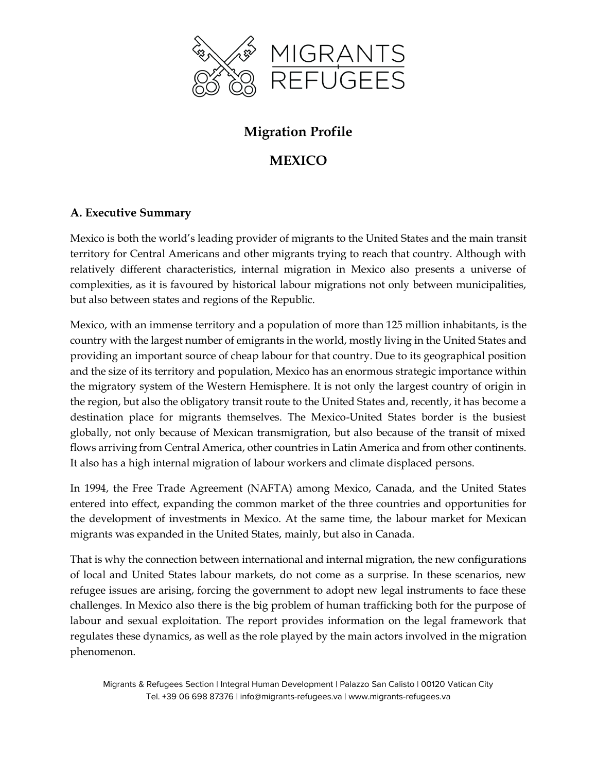

# **Migration Profile**

# **MEXICO**

# **A. Executive Summary**

Mexico is both the world's leading provider of migrants to the United States and the main transit territory for Central Americans and other migrants trying to reach that country. Although with relatively different characteristics, internal migration in Mexico also presents a universe of complexities, as it is favoured by historical labour migrations not only between municipalities, but also between states and regions of the Republic.

Mexico, with an immense territory and a population of more than 125 million inhabitants, is the country with the largest number of emigrants in the world, mostly living in the United States and providing an important source of cheap labour for that country. Due to its geographical position and the size of its territory and population, Mexico has an enormous strategic importance within the migratory system of the Western Hemisphere. It is not only the largest country of origin in the region, but also the obligatory transit route to the United States and, recently, it has become a destination place for migrants themselves. The Mexico-United States border is the busiest globally, not only because of Mexican transmigration, but also because of the transit of mixed flows arriving from Central America, other countries in Latin America and from other continents. It also has a high internal migration of labour workers and climate displaced persons.

In 1994, the Free Trade Agreement (NAFTA) among Mexico, Canada, and the United States entered into effect, expanding the common market of the three countries and opportunities for the development of investments in Mexico. At the same time, the labour market for Mexican migrants was expanded in the United States, mainly, but also in Canada.

That is why the connection between international and internal migration, the new configurations of local and United States labour markets, do not come as a surprise. In these scenarios, new refugee issues are arising, forcing the government to adopt new legal instruments to face these challenges. In Mexico also there is the big problem of human trafficking both for the purpose of labour and sexual exploitation. The report provides information on the legal framework that regulates these dynamics, as well as the role played by the main actors involved in the migration phenomenon.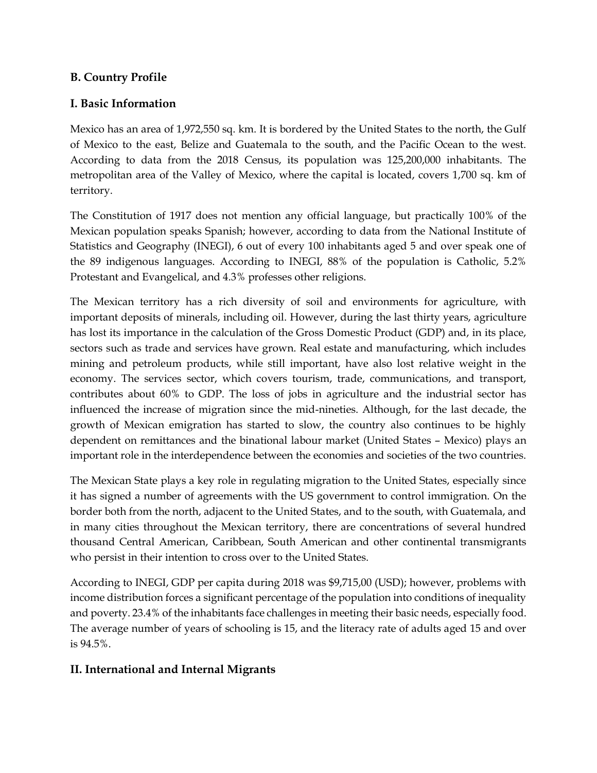### **B. Country Profile**

### **I. Basic Information**

Mexico has an area of 1,972,550 sq. km. It is bordered by the United States to the north, the Gulf of Mexico to the east, Belize and Guatemala to the south, and the Pacific Ocean to the west. According to data from the 2018 Census, its population was 125,200,000 inhabitants. The metropolitan area of the Valley of Mexico, where the capital is located, covers 1,700 sq. km of territory.

The Constitution of 1917 does not mention any official language, but practically 100% of the Mexican population speaks Spanish; however, according to data from the National Institute of Statistics and Geography (INEGI), 6 out of every 100 inhabitants aged 5 and over speak one of the 89 indigenous languages. According to INEGI, 88% of the population is Catholic, 5.2% Protestant and Evangelical, and 4.3% professes other religions.

The Mexican territory has a rich diversity of soil and environments for agriculture, with important deposits of minerals, including oil. However, during the last thirty years, agriculture has lost its importance in the calculation of the Gross Domestic Product (GDP) and, in its place, sectors such as trade and services have grown. Real estate and manufacturing, which includes mining and petroleum products, while still important, have also lost relative weight in the economy. The services sector, which covers tourism, trade, communications, and transport, contributes about 60% to GDP. The loss of jobs in agriculture and the industrial sector has influenced the increase of migration since the mid-nineties. Although, for the last decade, the growth of Mexican emigration has started to slow, the country also continues to be highly dependent on remittances and the binational labour market (United States – Mexico) plays an important role in the interdependence between the economies and societies of the two countries.

The Mexican State plays a key role in regulating migration to the United States, especially since it has signed a number of agreements with the US government to control immigration. On the border both from the north, adjacent to the United States, and to the south, with Guatemala, and in many cities throughout the Mexican territory, there are concentrations of several hundred thousand Central American, Caribbean, South American and other continental transmigrants who persist in their intention to cross over to the United States.

According to INEGI, GDP per capita during 2018 was \$9,715,00 (USD); however, problems with income distribution forces a significant percentage of the population into conditions of inequality and poverty. 23.4% of the inhabitants face challenges in meeting their basic needs, especially food. The average number of years of schooling is 15, and the literacy rate of adults aged 15 and over is 94.5%.

# **II. International and Internal Migrants**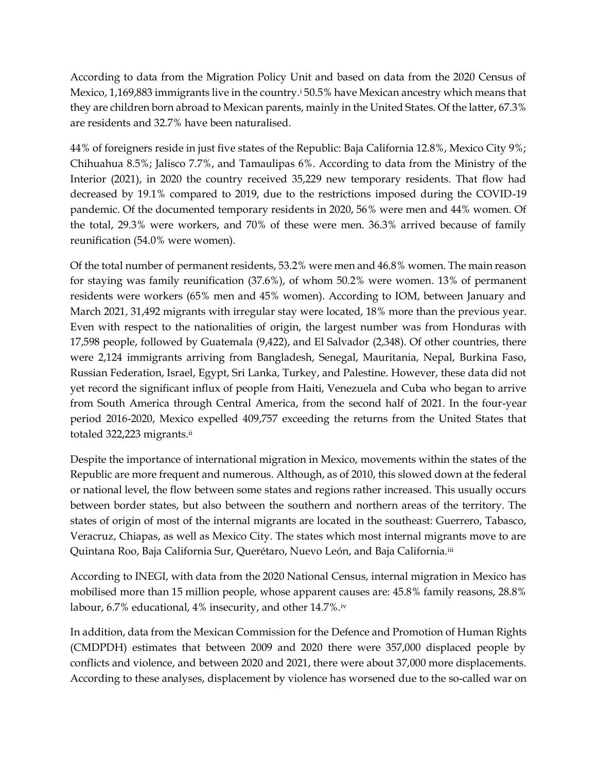According to data from the Migration Policy Unit and based on data from the 2020 Census of Mexico, 1,169,883 immigrants live in the country.<sup>i</sup> 50.5% have Mexican ancestry which means that they are children born abroad to Mexican parents, mainly in the United States. Of the latter, 67.3% are residents and 32.7% have been naturalised.

44% of foreigners reside in just five states of the Republic: Baja California 12.8%, Mexico City 9%; Chihuahua 8.5%; Jalisco 7.7%, and Tamaulipas 6%. According to data from the Ministry of the Interior (2021), in 2020 the country received 35,229 new temporary residents. That flow had decreased by 19.1% compared to 2019, due to the restrictions imposed during the COVID-19 pandemic. Of the documented temporary residents in 2020, 56% were men and 44% women. Of the total, 29.3% were workers, and 70% of these were men. 36.3% arrived because of family reunification (54.0% were women).

Of the total number of permanent residents, 53.2% were men and 46.8% women. The main reason for staying was family reunification (37.6%), of whom 50.2% were women. 13% of permanent residents were workers (65% men and 45% women). According to IOM, between January and March 2021, 31,492 migrants with irregular stay were located, 18% more than the previous year. Even with respect to the nationalities of origin, the largest number was from Honduras with 17,598 people, followed by Guatemala (9,422), and El Salvador (2,348). Of other countries, there were 2,124 immigrants arriving from Bangladesh, Senegal, Mauritania, Nepal, Burkina Faso, Russian Federation, Israel, Egypt, Sri Lanka, Turkey, and Palestine. However, these data did not yet record the significant influx of people from Haiti, Venezuela and Cuba who began to arrive from South America through Central America, from the second half of 2021. In the four-year period 2016-2020, Mexico expelled 409,757 exceeding the returns from the United States that totaled 322,223 migrants.ii

Despite the importance of international migration in Mexico, movements within the states of the Republic are more frequent and numerous. Although, as of 2010, this slowed down at the federal or national level, the flow between some states and regions rather increased. This usually occurs between border states, but also between the southern and northern areas of the territory. The states of origin of most of the internal migrants are located in the southeast: Guerrero, Tabasco, Veracruz, Chiapas, as well as Mexico City. The states which most internal migrants move to are Quintana Roo, Baja California Sur, Querétaro, Nuevo León, and Baja California.iii

According to INEGI, with data from the 2020 National Census, internal migration in Mexico has mobilised more than 15 million people, whose apparent causes are: 45.8% family reasons, 28.8% labour, 6.7% educational, 4% insecurity, and other 14.7%.iv

In addition, data from the Mexican Commission for the Defence and Promotion of Human Rights (CMDPDH) estimates that between 2009 and 2020 there were 357,000 displaced people by conflicts and violence, and between 2020 and 2021, there were about 37,000 more displacements. According to these analyses, displacement by violence has worsened due to the so-called war on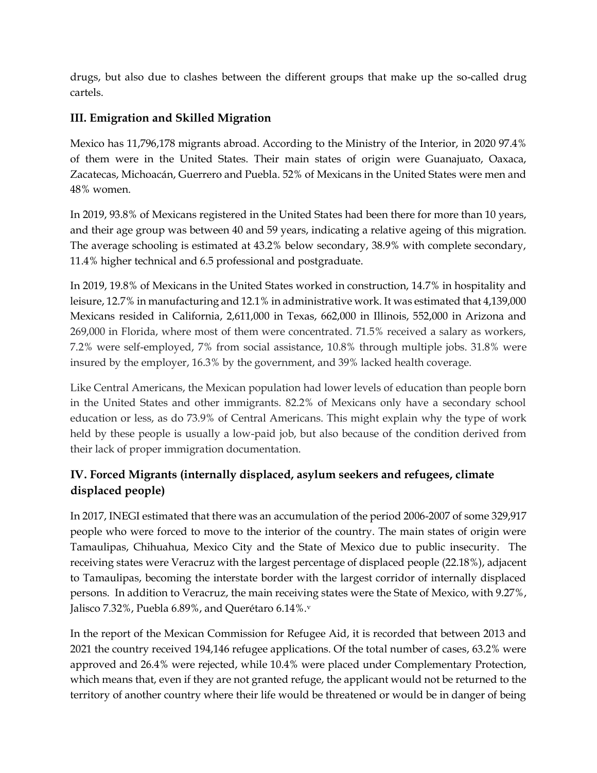drugs, but also due to clashes between the different groups that make up the so-called drug cartels.

# **III. Emigration and Skilled Migration**

Mexico has 11,796,178 migrants abroad. According to the Ministry of the Interior, in 2020 97.4% of them were in the United States. Their main states of origin were Guanajuato, Oaxaca, Zacatecas, Michoacán, Guerrero and Puebla. 52% of Mexicans in the United States were men and 48% women.

In 2019, 93.8% of Mexicans registered in the United States had been there for more than 10 years, and their age group was between 40 and 59 years, indicating a relative ageing of this migration. The average schooling is estimated at 43.2% below secondary, 38.9% with complete secondary, 11.4% higher technical and 6.5 professional and postgraduate.

In 2019, 19.8% of Mexicans in the United States worked in construction, 14.7% in hospitality and leisure, 12.7% in manufacturing and 12.1% in administrative work. It was estimated that 4,139,000 Mexicans resided in California, 2,611,000 in Texas, 662,000 in Illinois, 552,000 in Arizona and 269,000 in Florida, where most of them were concentrated. 71.5% received a salary as workers, 7.2% were self-employed, 7% from social assistance, 10.8% through multiple jobs. 31.8% were insured by the employer, 16.3% by the government, and 39% lacked health coverage.

Like Central Americans, the Mexican population had lower levels of education than people born in the United States and other immigrants. 82.2% of Mexicans only have a secondary school education or less, as do 73.9% of Central Americans. This might explain why the type of work held by these people is usually a low-paid job, but also because of the condition derived from their lack of proper immigration documentation.

# **IV. Forced Migrants (internally displaced, asylum seekers and refugees, climate displaced people)**

In 2017, INEGI estimated that there was an accumulation of the period 2006-2007 of some 329,917 people who were forced to move to the interior of the country. The main states of origin were Tamaulipas, Chihuahua, Mexico City and the State of Mexico due to public insecurity. The receiving states were Veracruz with the largest percentage of displaced people (22.18%), adjacent to Tamaulipas, becoming the interstate border with the largest corridor of internally displaced persons. In addition to Veracruz, the main receiving states were the State of Mexico, with 9.27%, Jalisco 7.32%, Puebla 6.89%, and Querétaro 6.14%.<sup>v</sup>

In the report of the Mexican Commission for Refugee Aid, it is recorded that between 2013 and 2021 the country received 194,146 refugee applications. Of the total number of cases, 63.2% were approved and 26.4% were rejected, while 10.4% were placed under Complementary Protection, which means that, even if they are not granted refuge, the applicant would not be returned to the territory of another country where their life would be threatened or would be in danger of being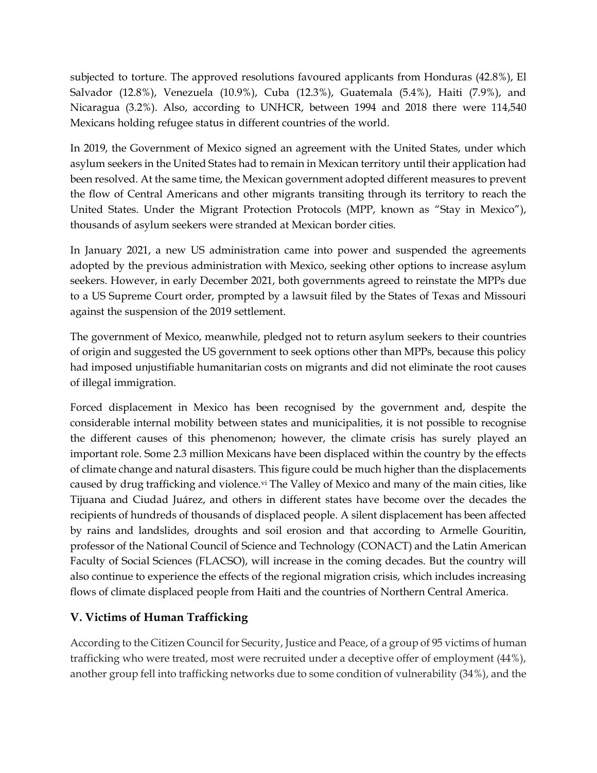subjected to torture. The approved resolutions favoured applicants from Honduras (42.8%), El Salvador (12.8%), Venezuela (10.9%), Cuba (12.3%), Guatemala (5.4%), Haiti (7.9%), and Nicaragua (3.2%). Also, according to UNHCR, between 1994 and 2018 there were 114,540 Mexicans holding refugee status in different countries of the world.

In 2019, the Government of Mexico signed an agreement with the United States, under which asylum seekers in the United States had to remain in Mexican territory until their application had been resolved. At the same time, the Mexican government adopted different measures to prevent the flow of Central Americans and other migrants transiting through its territory to reach the United States. Under the Migrant Protection Protocols (MPP, known as "Stay in Mexico"), thousands of asylum seekers were stranded at Mexican border cities.

In January 2021, a new US administration came into power and suspended the agreements adopted by the previous administration with Mexico, seeking other options to increase asylum seekers. However, in early December 2021, both governments agreed to reinstate the MPPs due to a US Supreme Court order, prompted by a lawsuit filed by the States of Texas and Missouri against the suspension of the 2019 settlement.

The government of Mexico, meanwhile, pledged not to return asylum seekers to their countries of origin and suggested the US government to seek options other than MPPs, because this policy had imposed unjustifiable humanitarian costs on migrants and did not eliminate the root causes of illegal immigration.

Forced displacement in Mexico has been recognised by the government and, despite the considerable internal mobility between states and municipalities, it is not possible to recognise the different causes of this phenomenon; however, the climate crisis has surely played an important role. Some 2.3 million Mexicans have been displaced within the country by the effects of climate change and natural disasters. This figure could be much higher than the displacements caused by drug trafficking and violence.<sup>vi</sup> The Valley of Mexico and many of the main cities, like Tijuana and Ciudad Juárez, and others in different states have become over the decades the recipients of hundreds of thousands of displaced people. A silent displacement has been affected by rains and landslides, droughts and soil erosion and that according to Armelle Gouritin, professor of the National Council of Science and Technology (CONACT) and the Latin American Faculty of Social Sciences (FLACSO), will increase in the coming decades. But the country will also continue to experience the effects of the regional migration crisis, which includes increasing flows of climate displaced people from Haiti and the countries of Northern Central America.

# **V. Victims of Human Trafficking**

According to the Citizen Council for Security, Justice and Peace, of a group of 95 victims of human trafficking who were treated, most were recruited under a deceptive offer of employment (44%), another group fell into trafficking networks due to some condition of vulnerability (34%), and the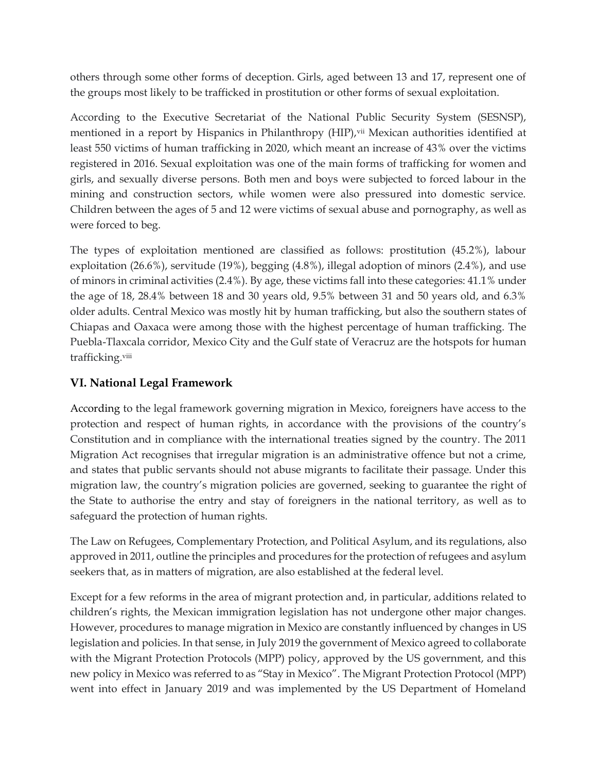others through some other forms of deception. Girls, aged between 13 and 17, represent one of the groups most likely to be trafficked in prostitution or other forms of sexual exploitation.

According to the Executive Secretariat of the National Public Security System (SESNSP), mentioned in a report by Hispanics in Philanthropy (HIP), vii Mexican authorities identified at least 550 victims of human trafficking in 2020, which meant an increase of 43% over the victims registered in 2016. Sexual exploitation was one of the main forms of trafficking for women and girls, and sexually diverse persons. Both men and boys were subjected to forced labour in the mining and construction sectors, while women were also pressured into domestic service. Children between the ages of 5 and 12 were victims of sexual abuse and pornography, as well as were forced to beg.

The types of exploitation mentioned are classified as follows: prostitution (45.2%), labour exploitation (26.6%), servitude (19%), begging (4.8%), illegal adoption of minors (2.4%), and use of minors in criminal activities (2.4%). By age, these victims fall into these categories: 41.1% under the age of 18, 28.4% between 18 and 30 years old, 9.5% between 31 and 50 years old, and 6.3% older adults. Central Mexico was mostly hit by human trafficking, but also the southern states of Chiapas and Oaxaca were among those with the highest percentage of human trafficking. The Puebla-Tlaxcala corridor, Mexico City and the Gulf state of Veracruz are the hotspots for human trafficking.viii

# **VI. National Legal Framework**

According to the legal framework governing migration in Mexico, foreigners have access to the protection and respect of human rights, in accordance with the provisions of the country's Constitution and in compliance with the international treaties signed by the country. The 2011 Migration Act recognises that irregular migration is an administrative offence but not a crime, and states that public servants should not abuse migrants to facilitate their passage. Under this migration law, the country's migration policies are governed, seeking to guarantee the right of the State to authorise the entry and stay of foreigners in the national territory, as well as to safeguard the protection of human rights.

The Law on Refugees, Complementary Protection, and Political Asylum, and its regulations, also approved in 2011, outline the principles and procedures for the protection of refugees and asylum seekers that, as in matters of migration, are also established at the federal level.

Except for a few reforms in the area of migrant protection and, in particular, additions related to children's rights, the Mexican immigration legislation has not undergone other major changes. However, procedures to manage migration in Mexico are constantly influenced by changes in US legislation and policies. In that sense, in July 2019 the government of Mexico agreed to collaborate with the Migrant Protection Protocols (MPP) policy, approved by the US government, and this new policy in Mexico was referred to as "Stay in Mexico". The Migrant Protection Protocol (MPP) went into effect in January 2019 and was implemented by the US Department of Homeland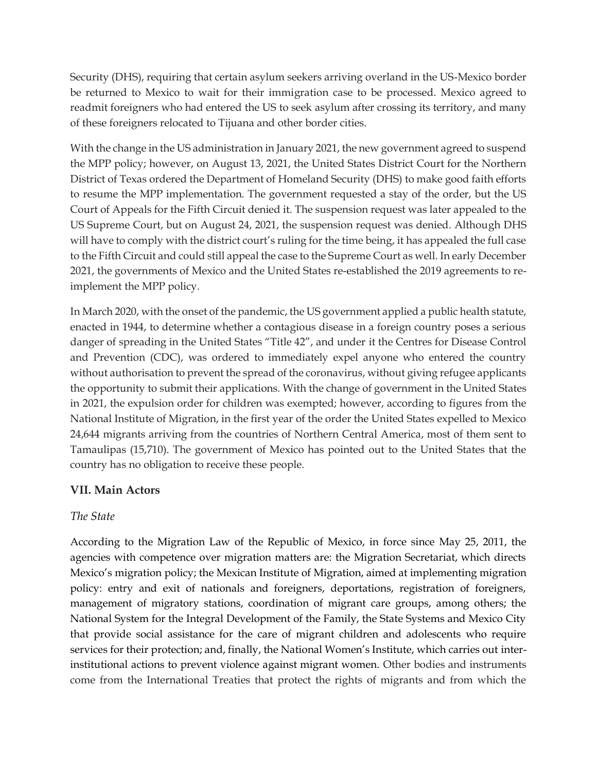Security (DHS), requiring that certain asylum seekers arriving overland in the US-Mexico border be returned to Mexico to wait for their immigration case to be processed. Mexico agreed to readmit foreigners who had entered the US to seek asylum after crossing its territory, and many of these foreigners relocated to Tijuana and other border cities.

With the change in the US administration in January 2021, the new government agreed to suspend the MPP policy; however, on August 13, 2021, the United States District Court for the Northern District of Texas ordered the Department of Homeland Security (DHS) to make good faith efforts to resume the MPP implementation. The government requested a stay of the order, but the US Court of Appeals for the Fifth Circuit denied it. The suspension request was later appealed to the US Supreme Court, but on August 24, 2021, the suspension request was denied. Although DHS will have to comply with the district court's ruling for the time being, it has appealed the full case to the Fifth Circuit and could still appeal the case to the Supreme Court as well. In early December 2021, the governments of Mexico and the United States re-established the 2019 agreements to reimplement the MPP policy.

In March 2020, with the onset of the pandemic, the US government applied a public health statute, enacted in 1944, to determine whether a contagious disease in a foreign country poses a serious danger of spreading in the United States "Title 42", and under it the Centres for Disease Control and Prevention (CDC), was ordered to immediately expel anyone who entered the country without authorisation to prevent the spread of the coronavirus, without giving refugee applicants the opportunity to submit their applications. With the change of government in the United States in 2021, the expulsion order for children was exempted; however, according to figures from the National Institute of Migration, in the first year of the order the United States expelled to Mexico 24,644 migrants arriving from the countries of Northern Central America, most of them sent to Tamaulipas (15,710). The government of Mexico has pointed out to the United States that the country has no obligation to receive these people.

# **VII. Main Actors**

#### *The State*

According to the Migration Law of the Republic of Mexico, in force since May 25, 2011, the agencies with competence over migration matters are: the Migration Secretariat, which directs Mexico's migration policy; the Mexican Institute of Migration, aimed at implementing migration policy: entry and exit of nationals and foreigners, deportations, registration of foreigners, management of migratory stations, coordination of migrant care groups, among others; the National System for the Integral Development of the Family, the State Systems and Mexico City that provide social assistance for the care of migrant children and adolescents who require services for their protection; and, finally, the National Women's Institute, which carries out interinstitutional actions to prevent violence against migrant women. Other bodies and instruments come from the International Treaties that protect the rights of migrants and from which the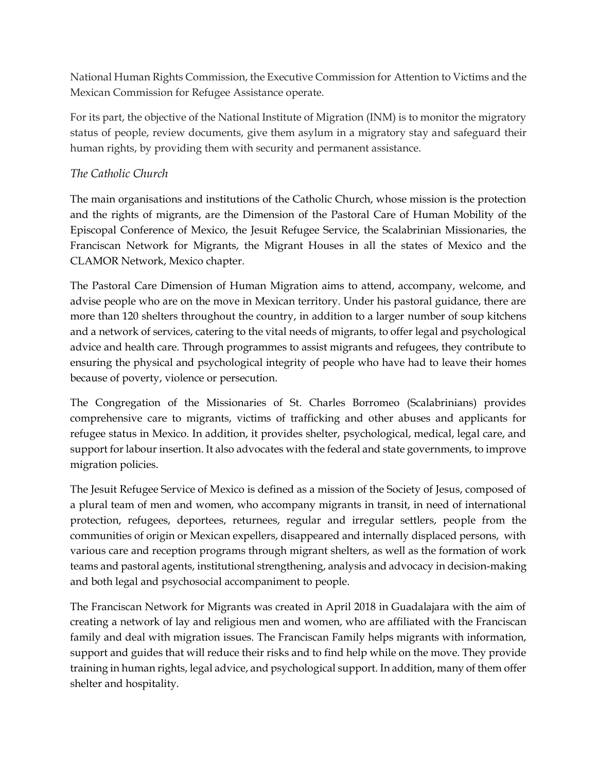National Human Rights Commission, the Executive Commission for Attention to Victims and the Mexican Commission for Refugee Assistance operate.

For its part, the objective of the National Institute of Migration (INM) is to monitor the migratory status of people, review documents, give them asylum in a migratory stay and safeguard their human rights, by providing them with security and permanent assistance.

### *The Catholic Church*

The main organisations and institutions of the Catholic Church, whose mission is the protection and the rights of migrants, are the Dimension of the Pastoral Care of Human Mobility of the Episcopal Conference of Mexico, the Jesuit Refugee Service, the Scalabrinian Missionaries, the Franciscan Network for Migrants, the Migrant Houses in all the states of Mexico and the CLAMOR Network, Mexico chapter.

The Pastoral Care Dimension of Human Migration aims to attend, accompany, welcome, and advise people who are on the move in Mexican territory. Under his pastoral guidance, there are more than 120 shelters throughout the country, in addition to a larger number of soup kitchens and a network of services, catering to the vital needs of migrants, to offer legal and psychological advice and health care. Through programmes to assist migrants and refugees, they contribute to ensuring the physical and psychological integrity of people who have had to leave their homes because of poverty, violence or persecution.

The Congregation of the Missionaries of St. Charles Borromeo (Scalabrinians) provides comprehensive care to migrants, victims of trafficking and other abuses and applicants for refugee status in Mexico. In addition, it provides shelter, psychological, medical, legal care, and support for labour insertion. It also advocates with the federal and state governments, to improve migration policies.

The Jesuit Refugee Service of Mexico is defined as a mission of the Society of Jesus, composed of a plural team of men and women, who accompany migrants in transit, in need of international protection, refugees, deportees, returnees, regular and irregular settlers, people from the communities of origin or Mexican expellers, disappeared and internally displaced persons, with various care and reception programs through migrant shelters, as well as the formation of work teams and pastoral agents, institutional strengthening, analysis and advocacy in decision-making and both legal and psychosocial accompaniment to people.

The Franciscan Network for Migrants was created in April 2018 in Guadalajara with the aim of creating a network of lay and religious men and women, who are affiliated with the Franciscan family and deal with migration issues. The Franciscan Family helps migrants with information, support and guides that will reduce their risks and to find help while on the move. They provide training in human rights, legal advice, and psychological support. In addition, many of them offer shelter and hospitality.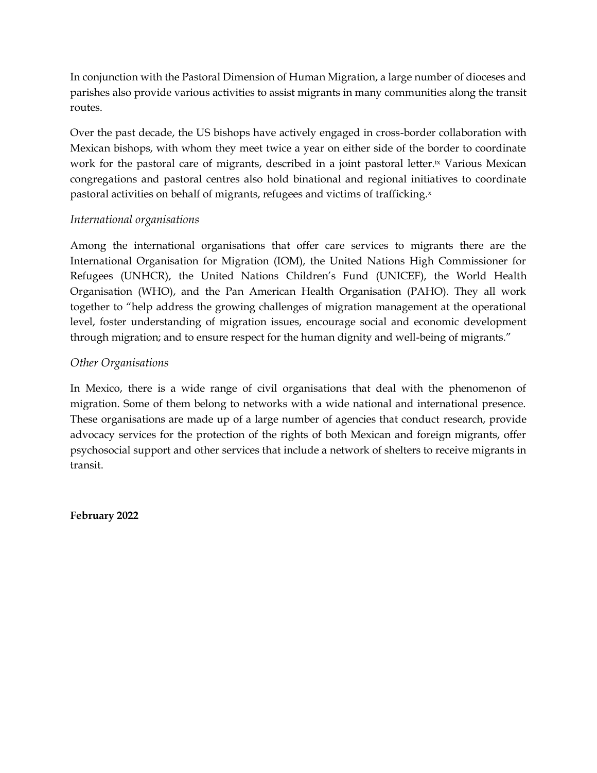In conjunction with the Pastoral Dimension of Human Migration, a large number of dioceses and parishes also provide various activities to assist migrants in many communities along the transit routes.

Over the past decade, the US bishops have actively engaged in cross-border collaboration with Mexican bishops, with whom they meet twice a year on either side of the border to coordinate work for the pastoral care of migrants, described in a joint pastoral letter.<sup>ix</sup> Various Mexican congregations and pastoral centres also hold binational and regional initiatives to coordinate pastoral activities on behalf of migrants, refugees and victims of trafficking.x

#### *International organisations*

Among the international organisations that offer care services to migrants there are the International Organisation for Migration (IOM), the United Nations High Commissioner for Refugees (UNHCR), the United Nations Children's Fund (UNICEF), the World Health Organisation (WHO), and the Pan American Health Organisation (PAHO). They all work together to "help address the growing challenges of migration management at the operational level, foster understanding of migration issues, encourage social and economic development through migration; and to ensure respect for the human dignity and well-being of migrants."

### *Other Organisations*

In Mexico, there is a wide range of civil organisations that deal with the phenomenon of migration. Some of them belong to networks with a wide national and international presence. These organisations are made up of a large number of agencies that conduct research, provide advocacy services for the protection of the rights of both Mexican and foreign migrants, offer psychosocial support and other services that include a network of shelters to receive migrants in transit.

**February 2022**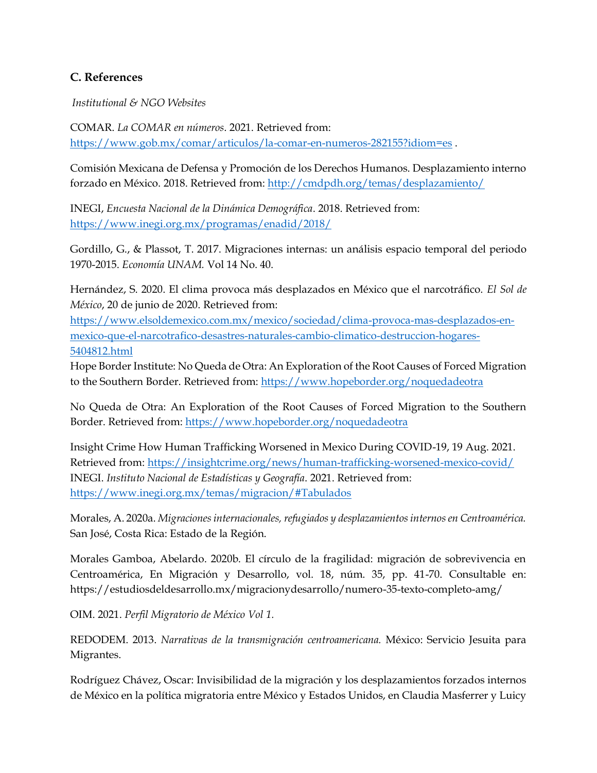### **C. References**

*Institutional & NGO Websites* 

COMAR. *La COMAR en números*. 2021. Retrieved from: <https://www.gob.mx/comar/articulos/la-comar-en-numeros-282155?idiom=es> .

Comisión Mexicana de Defensa y Promoción de los Derechos Humanos. Desplazamiento interno forzado en México. 2018. Retrieved from: <http://cmdpdh.org/temas/desplazamiento/>

INEGI, *Encuesta Nacional de la Dinámica Demográfica*. 2018. Retrieved from: <https://www.inegi.org.mx/programas/enadid/2018/>

Gordillo, G., & Plassot, T. 2017. Migraciones internas: un análisis espacio temporal del periodo 1970-2015. *Economía UNAM.* Vol 14 No. 40.

Hernández, S. 2020. El clima provoca más desplazados en México que el narcotráfico. *El Sol de México*, 20 de junio de 2020. Retrieved from:

[https://www.elsoldemexico.com.mx/mexico/sociedad/clima-provoca-mas-desplazados-en](https://www.elsoldemexico.com.mx/mexico/sociedad/clima-provoca-mas-desplazados-en-mexico-que-el-narcotrafico-desastres-naturales-cambio-climatico-destruccion-hogares-5404812.html)[mexico-que-el-narcotrafico-desastres-naturales-cambio-climatico-destruccion-hogares-](https://www.elsoldemexico.com.mx/mexico/sociedad/clima-provoca-mas-desplazados-en-mexico-que-el-narcotrafico-desastres-naturales-cambio-climatico-destruccion-hogares-5404812.html)[5404812.html](https://www.elsoldemexico.com.mx/mexico/sociedad/clima-provoca-mas-desplazados-en-mexico-que-el-narcotrafico-desastres-naturales-cambio-climatico-destruccion-hogares-5404812.html)

Hope Border Institute: No Queda de Otra: An Exploration of the Root Causes of Forced Migration to the Southern Border. Retrieved from:<https://www.hopeborder.org/noquedadeotra>

No Queda de Otra: An Exploration of the Root Causes of Forced Migration to the Southern Border. Retrieved from: <https://www.hopeborder.org/noquedadeotra>

Insight Crime How Human Trafficking Worsened in Mexico During COVID-19, 19 Aug. 2021. Retrieved from: <https://insightcrime.org/news/human-trafficking-worsened-mexico-covid/> INEGI. *Instituto Nacional de Estadísticas y Geografía*. 2021. Retrieved from: <https://www.inegi.org.mx/temas/migracion/#Tabulados>

Morales, A. 2020a. *Migraciones internacionales, refugiados y desplazamientos internos en Centroamérica.* San José, Costa Rica: Estado de la Región.

Morales Gamboa, Abelardo. 2020b. El círculo de la fragilidad: migración de sobrevivencia en Centroamérica, En Migración y Desarrollo, vol. 18, núm. 35, pp. 41-70. Consultable en: https://estudiosdeldesarrollo.mx/migracionydesarrollo/numero-35-texto-completo-amg/

OIM. 2021. *Perfil Migratorio de México Vol 1.*

REDODEM. 2013. *Narrativas de la transmigración centroamericana.* México: Servicio Jesuita para Migrantes.

Rodríguez Chávez, Oscar: Invisibilidad de la migración y los desplazamientos forzados internos de México en la política migratoria entre México y Estados Unidos, en Claudia Masferrer y Luicy